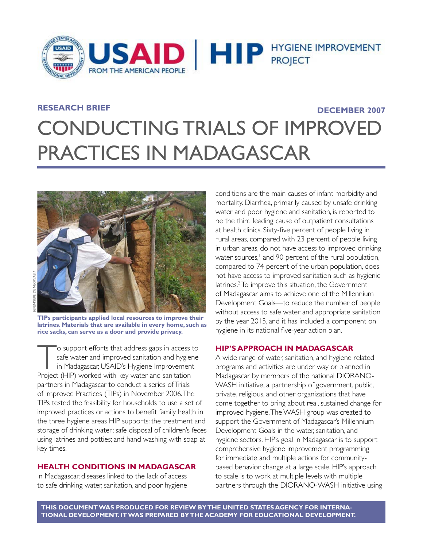

## **RESEARCH BRIEF**

## **DECEMBER 2007**

# CONDUCTING TRIALS OF IMPROVED PRACTICES IN MADAGASCAR



**TIPs participants applied local resources to improve their latrines. Materials that are available in every home, such as rice sacks, can serve as a door and provide privacy.**

To support efforts that address gaps in access to<br>safe water and improved sanitation and hygiene<br>in Madagascar, USAID's Hygiene Improvement<br>Project (HIP) worked with key water and sanitation safe water and improved sanitation and hygiene in Madagascar, USAID's Hygiene Improvement Project (HIP) worked with key water and sanitation partners in Madagascar to conduct a series of Trials of Improved Practices (TIPs) in November 2006. The TIPs tested the feasibility for households to use a set of improved practices or actions to benefit family health in the three hygiene areas HIP supports: the treatment and storage of drinking water; safe disposal of children's feces using latrines and potties; and hand washing with soap at key times.

## **HEALTH CONDITIONS IN MADAGASCAR**

In Madagascar, diseases linked to the lack of access to safe drinking water, sanitation, and poor hygiene

conditions are the main causes of infant morbidity and mortality. Diarrhea, primarily caused by unsafe drinking water and poor hygiene and sanitation, is reported to be the third leading cause of outpatient consultations at health clinics. Sixty-five percent of people living in rural areas, compared with 23 percent of people living in urban areas, do not have access to improved drinking water sources,<sup>1</sup> and 90 percent of the rural population, compared to 74 percent of the urban population, does not have access to improved sanitation such as hygienic latrines.<sup>2</sup> To improve this situation, the Government of Madagascar aims to achieve one of the Millennium Development Goals—to reduce the number of people without access to safe water and appropriate sanitation by the year 2015, and it has included a component on hygiene in its national five-year action plan.

## **HIP'S APPROACH IN MADAGASCAR**

A wide range of water, sanitation, and hygiene related programs and activities are under way or planned in Madagascar by members of the national DIORANO-WASH initiative, a partnership of government, public, private, religious, and other organizations that have come together to bring about real, sustained change for improved hygiene. The WASH group was created to support the Government of Madagascar's Millennium Development Goals in the water, sanitation, and hygiene sectors. HIP's goal in Madagascar is to support comprehensive hygiene improvement programming for immediate and multiple actions for communitybased behavior change at a large scale. HIP's approach to scale is to work at multiple levels with multiple partners through the DIORANO-WASH initiative using

THIS DOCUMENT WAS PRODUCED FOR REVIEW BY THE UNITED STATES AGENCY FOR INTERNA-**TIONAL DEVELOPMENT. IT WAS PREPARED BY THE ACADEMY FOR EDUCATIONAL DEVELOPMENT.**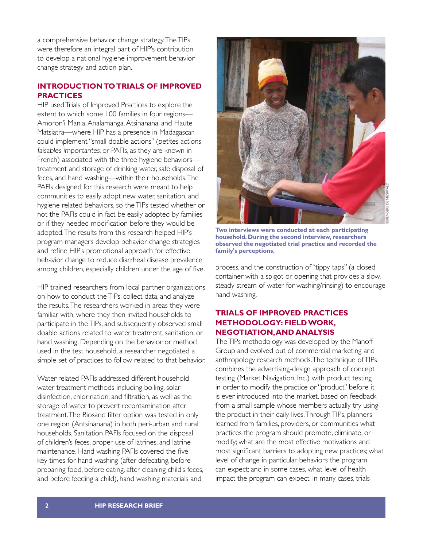a comprehensive behavior change strategy. The TIPs were therefore an integral part of HIP's contribution to develop a national hygiene improvement behavior change strategy and action plan.

## **INTRODUCTION TO TRIALS OF IMPROVED PRACTICES**

HIP used Trials of Improved Practices to explore the extent to which some 100 families in four regions— Amoron'i Mania, Analamanga, Atsinanana, and Haute Matsiatra—where HIP has a presence in Madagascar could implement "small doable actions" (petites actions faisables importantes, or PAFIs, as they are known in French) associated with the three hygiene behaviors treatment and storage of drinking water, safe disposal of feces, and hand washing—within their households. The PAFIs designed for this research were meant to help communities to easily adopt new water, sanitation, and hygiene related behaviors, so the TIPs tested whether or not the PAFIs could in fact be easily adopted by families or if they needed modification before they would be adopted. The results from this research helped HIP's program managers develop behavior change strategies and refine HIP's promotional approach for effective behavior change to reduce diarrheal disease prevalence among children, especially children under the age of five.

HIP trained researchers from local partner organizations on how to conduct the TIPs, collect data, and analyze the results. The researchers worked in areas they were familiar with, where they then invited households to participate in the TIPs, and subsequently observed small doable actions related to water treatment, sanitation, or hand washing. Depending on the behavior or method used in the test household, a researcher negotiated a simple set of practices to follow related to that behavior.

Water-related PAFIs addressed different household water treatment methods including boiling, solar disinfection, chlorination, and filtration, as well as the storage of water to prevent recontamination after treatment. The Biosand filter option was tested in only one region (Antsinanana) in both peri-urban and rural households. Sanitation PAFIs focused on the disposal of children's feces, proper use of latrines, and latrine maintenance. Hand washing PAFIs covered the five key times for hand washing (after defecating, before preparing food, before eating, after cleaning child's feces, and before feeding a child), hand washing materials and



**Two interviews were conducted at each participating household. During the second interview, researchers observed the negotiated trial practice and recorded the family's perceptions.**

process, and the construction of "tippy taps" (a closed container with a spigot or opening that provides a slow, steady stream of water for washing/rinsing) to encourage hand washing.

## **TRIALS OF IMPROVED PRACTICES METHODOLOGY: FIELD WORK, NEGOTIATION, AND ANALYSIS**

The TIPs methodology was developed by the Manoff Group and evolved out of commercial marketing and anthropology research methods. The technique of TIPs combines the advertising-design approach of concept testing (Market Navigation, Inc.) with product testing in order to modify the practice or "product" before it is ever introduced into the market, based on feedback from a small sample whose members actually try using the product in their daily lives. Through TIPs, planners learned from families, providers, or communities what practices the program should promote, eliminate, or modify; what are the most effective motivations and most significant barriers to adopting new practices; what level of change in particular behaviors the program can expect; and in some cases, what level of health impact the program can expect. In many cases, trials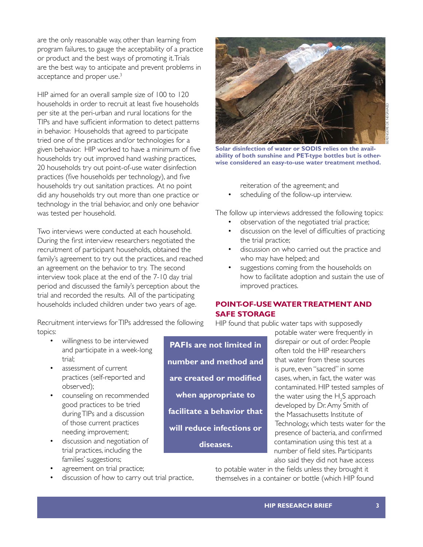are the only reasonable way, other than learning from program failures, to gauge the acceptability of a practice or product and the best ways of promoting it. Trials are the best way to anticipate and prevent problems in acceptance and proper use.<sup>3</sup>

HIP aimed for an overall sample size of 100 to 120 households in order to recruit at least five households per site at the peri-urban and rural locations for the TIPs and have sufficient information to detect patterns in behavior. Households that agreed to participate tried one of the practices and/or technologies for a given behavior. HIP worked to have a minimum of five households try out improved hand washing practices, 20 households try out point-of-use water disinfection practices (five households per technology), and five households try out sanitation practices. At no point did any households try out more than one practice or technology in the trial behavior, and only one behavior was tested per household.

Two interviews were conducted at each household. During the first interview researchers negotiated the recruitment of participant households, obtained the family's agreement to try out the practices, and reached an agreement on the behavior to try. The second interview took place at the end of the 7-10 day trial period and discussed the family's perception about the trial and recorded the results. All of the participating households included children under two years of age.

Recruitment interviews for TIPs addressed the following topics:

- willingness to be interviewed and participate in a week-long trial;
- assessment of current practices (self-reported and observed);
- counseling on recommended good practices to be tried during TIPs and a discussion of those current practices needing improvement;
- discussion and negotiation of trial practices, including the families' suggestions;
- agreement on trial practice;
- discussion of how to carry out trial practice,

**PAFIs are not limited in number and method and are created or modified when appropriate to facilitate a behavior that will reduce infections or diseases.** 



to potable water in the fields unless they brought it themselves in a container or bottle (which HIP found

scheduling of the follow-up interview.

reiteration of the agreement; and

The follow up interviews addressed the following topics:

- observation of the negotiated trial practice;
- discussion on the level of difficulties of practicing the trial practice;
- discussion on who carried out the practice and who may have helped; and
- suggestions coming from the households on how to facilitate adoption and sustain the use of improved practices.

## **POINT-OF-USE WATER TREATMENT AND**

## **Solar disinfection of water or SODIS relies on the availability of both sunshine and PET-type bottles but is otherwise considered an easy-to-use water treatment method.**

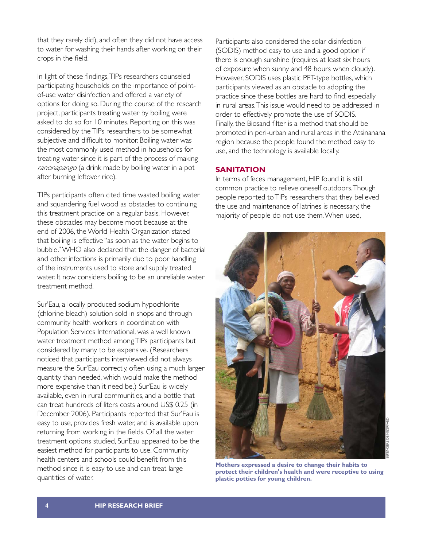that they rarely did), and often they did not have access to water for washing their hands after working on their crops in the field.

In light of these findings, TIPs researchers counseled participating households on the importance of pointof-use water disinfection and offered a variety of options for doing so. During the course of the research project, participants treating water by boiling were asked to do so for 10 minutes. Reporting on this was considered by the TIPs researchers to be somewhat subjective and difficult to monitor. Boiling water was the most commonly used method in households for treating water since it is part of the process of making ranonapango (a drink made by boiling water in a pot after burning leftover rice).

TIPs participants often cited time wasted boiling water and squandering fuel wood as obstacles to continuing this treatment practice on a regular basis. However, these obstacles may become moot because at the end of 2006, the World Health Organization stated that boiling is effective "as soon as the water begins to bubble." WHO also declared that the danger of bacterial and other infections is primarily due to poor handling of the instruments used to store and supply treated water. It now considers boiling to be an unreliable water treatment method.

Sur'Eau, a locally produced sodium hypochlorite (chlorine bleach) solution sold in shops and through community health workers in coordination with Population Services International, was a well known water treatment method among TIPs participants but considered by many to be expensive. (Researchers noticed that participants interviewed did not always measure the Sur'Eau correctly, often using a much larger quantity than needed, which would make the method more expensive than it need be.) Sur'Eau is widely available, even in rural communities, and a bottle that can treat hundreds of liters costs around US\$ 0.25 (in December 2006). Participants reported that Sur'Eau is easy to use, provides fresh water, and is available upon returning from working in the fields. Of all the water treatment options studied, Sur'Eau appeared to be the easiest method for participants to use. Community health centers and schools could benefit from this method since it is easy to use and can treat large quantities of water.

Participants also considered the solar disinfection (SODIS) method easy to use and a good option if there is enough sunshine (requires at least six hours of exposure when sunny and 48 hours when cloudy). However, SODIS uses plastic PET-type bottles, which participants viewed as an obstacle to adopting the practice since these bottles are hard to find, especially in rural areas. This issue would need to be addressed in order to effectively promote the use of SODIS. Finally, the Biosand filter is a method that should be promoted in peri-urban and rural areas in the Atsinanana region because the people found the method easy to use, and the technology is available locally.

## **SANITATION**

In terms of feces management, HIP found it is still common practice to relieve oneself outdoors. Though people reported to TIPs researchers that they believed the use and maintenance of latrines is necessary, the majority of people do not use them. When used,



**Mothers expressed a desire to change their habits to protect their children's health and were receptive to using plastic potties for young children.**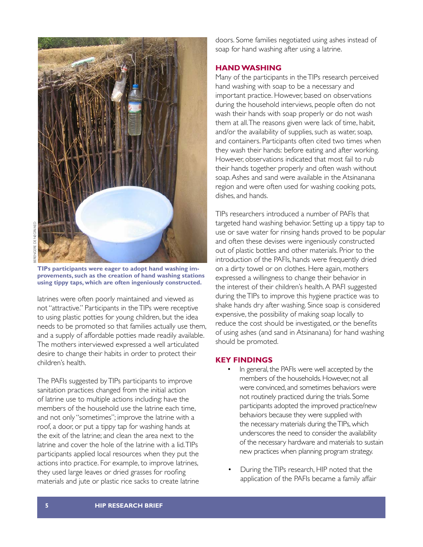

**TIPs participants were eager to adopt hand washing improvements, such as the creation of hand washing stations using tippy taps, which are often ingeniously constructed.** 

latrines were often poorly maintained and viewed as not "attractive." Participants in the TIPs were receptive to using plastic potties for young children, but the idea needs to be promoted so that families actually use them, and a supply of affordable potties made readily available. The mothers interviewed expressed a well articulated desire to change their habits in order to protect their children's health.

The PAFIs suggested by TIPs participants to improve sanitation practices changed from the initial action of latrine use to multiple actions including: have the members of the household use the latrine each time, and not only "sometimes"; improve the latrine with a roof, a door, or put a tippy tap for washing hands at the exit of the latrine; and clean the area next to the latrine and cover the hole of the latrine with a lid. TIPs participants applied local resources when they put the actions into practice. For example, to improve latrines, they used large leaves or dried grasses for roofing materials and jute or plastic rice sacks to create latrine

doors. Some families negotiated using ashes instead of soap for hand washing after using a latrine.

## **HAND WASHING**

Many of the participants in the TIPs research perceived hand washing with soap to be a necessary and important practice. However, based on observations during the household interviews, people often do not wash their hands with soap properly or do not wash them at all. The reasons given were lack of time, habit, and/or the availability of supplies, such as water, soap, and containers. Participants often cited two times when they wash their hands: before eating and after working. However, observations indicated that most fail to rub their hands together properly and often wash without soap. Ashes and sand were available in the Atsinanana region and were often used for washing cooking pots, dishes, and hands.

TIPs researchers introduced a number of PAFIs that targeted hand washing behavior. Setting up a tippy tap to use or save water for rinsing hands proved to be popular and often these devises were ingeniously constructed out of plastic bottles and other materials. Prior to the introduction of the PAFIs, hands were frequently dried on a dirty towel or on clothes. Here again, mothers expressed a willingness to change their behavior in the interest of their children's health. A PAFI suggested during the TIPs to improve this hygiene practice was to shake hands dry after washing. Since soap is considered expensive, the possibility of making soap locally to reduce the cost should be investigated, or the benefits of using ashes (and sand in Atsinanana) for hand washing should be promoted.

## **KEY FINDINGS**

- In general, the PAFIs were well accepted by the members of the households. However, not all were convinced, and sometimes behaviors were not routinely practiced during the trials. Some participants adopted the improved practice/new behaviors because they were supplied with the necessary materials during the TIPs, which underscores the need to consider the availability of the necessary hardware and materials to sustain new practices when planning program strategy.
- During the TIPs research, HIP noted that the application of the PAFIs became a family affair